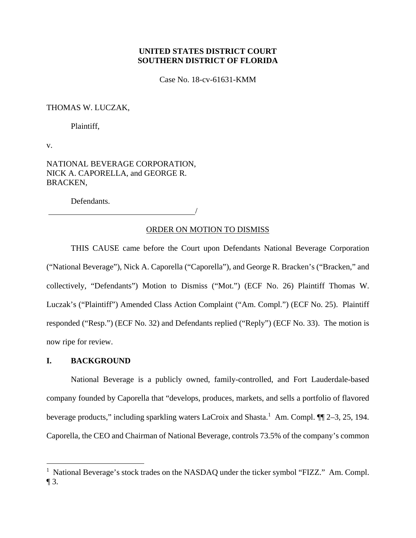# **UNITED STATES DISTRICT COURT SOUTHERN DISTRICT OF FLORIDA**

Case No. 18-cv-61631-KMM

# THOMAS W. LUCZAK,

Plaintiff,

v.

NATIONAL BEVERAGE CORPORATION, NICK A. CAPORELLA, and GEORGE R. BRACKEN,

Defendants.

<u>/</u>

## ORDER ON MOTION TO DISMISS

THIS CAUSE came before the Court upon Defendants National Beverage Corporation ("National Beverage"), Nick A. Caporella ("Caporella"), and George R. Bracken's ("Bracken," and collectively, "Defendants") Motion to Dismiss ("Mot.") (ECF No. 26) Plaintiff Thomas W. Luczak's ("Plaintiff") Amended Class Action Complaint ("Am. Compl.") (ECF No. 25). Plaintiff responded ("Resp.") (ECF No. 32) and Defendants replied ("Reply") (ECF No. 33). The motion is now ripe for review.

# **I. BACKGROUND**

National Beverage is a publicly owned, family-controlled, and Fort Lauderdale-based company founded by Caporella that "develops, produces, markets, and sells a portfolio of flavored beverage products," including sparkling waters LaCroix and Shasta.<sup>1</sup> Am. Compl.  $\P\P$  2–3, 25, 194. Caporella, the CEO and Chairman of National Beverage, controls 73.5% of the company's common

<sup>&</sup>lt;sup>1</sup> National Beverage's stock trades on the NASDAQ under the ticker symbol "FIZZ." Am. Compl.  $\P$ 3.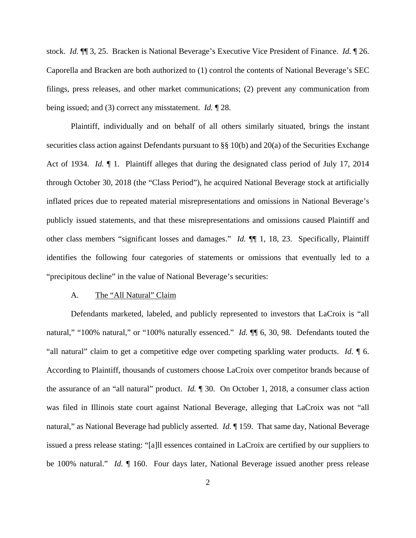stock. *Id.* ¶¶ 3, 25. Bracken is National Beverage's Executive Vice President of Finance. *Id.* ¶ 26. Caporella and Bracken are both authorized to (1) control the contents of National Beverage's SEC filings, press releases, and other market communications; (2) prevent any communication from being issued; and (3) correct any misstatement. *Id.* ¶ 28.

Plaintiff, individually and on behalf of all others similarly situated, brings the instant securities class action against Defendants pursuant to §§ 10(b) and 20(a) of the Securities Exchange Act of 1934. *Id.* ¶ 1. Plaintiff alleges that during the designated class period of July 17, 2014 through October 30, 2018 (the "Class Period"), he acquired National Beverage stock at artificially inflated prices due to repeated material misrepresentations and omissions in National Beverage's publicly issued statements, and that these misrepresentations and omissions caused Plaintiff and other class members "significant losses and damages." *Id.* ¶¶ 1, 18, 23. Specifically, Plaintiff identifies the following four categories of statements or omissions that eventually led to a "precipitous decline" in the value of National Beverage's securities:

#### A. The "All Natural" Claim

Defendants marketed, labeled, and publicly represented to investors that LaCroix is "all natural," "100% natural," or "100% naturally essenced." *Id.* ¶¶ 6, 30, 98. Defendants touted the "all natural" claim to get a competitive edge over competing sparkling water products. *Id.* ¶ 6. According to Plaintiff, thousands of customers choose LaCroix over competitor brands because of the assurance of an "all natural" product. *Id.* ¶ 30. On October 1, 2018, a consumer class action was filed in Illinois state court against National Beverage, alleging that LaCroix was not "all natural," as National Beverage had publicly asserted. *Id.* ¶ 159. That same day, National Beverage issued a press release stating: "[a]ll essences contained in LaCroix are certified by our suppliers to be 100% natural." *Id.* ¶ 160. Four days later, National Beverage issued another press release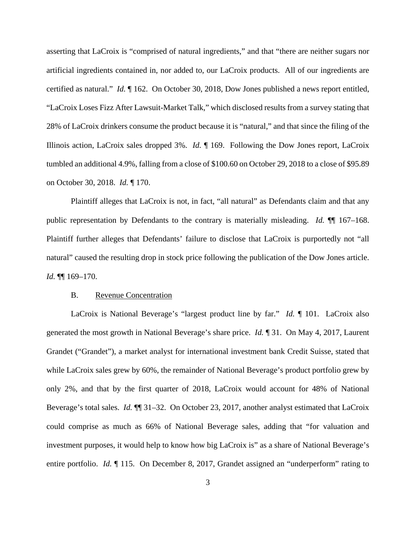asserting that LaCroix is "comprised of natural ingredients," and that "there are neither sugars nor artificial ingredients contained in, nor added to, our LaCroix products. All of our ingredients are certified as natural." *Id.* ¶ 162. On October 30, 2018, Dow Jones published a news report entitled, "LaCroix Loses Fizz After Lawsuit-Market Talk," which disclosed results from a survey stating that 28% of LaCroix drinkers consume the product because it is "natural," and that since the filing of the Illinois action, LaCroix sales dropped 3%. *Id.* ¶ 169. Following the Dow Jones report, LaCroix tumbled an additional 4.9%, falling from a close of \$100.60 on October 29, 2018 to a close of \$95.89 on October 30, 2018. *Id.* ¶ 170.

Plaintiff alleges that LaCroix is not, in fact, "all natural" as Defendants claim and that any public representation by Defendants to the contrary is materially misleading. *Id.* ¶¶ 167–168. Plaintiff further alleges that Defendants' failure to disclose that LaCroix is purportedly not "all natural" caused the resulting drop in stock price following the publication of the Dow Jones article. *Id.* ¶¶ 169–170.

# B. Revenue Concentration

LaCroix is National Beverage's "largest product line by far." *Id.* ¶ 101. LaCroix also generated the most growth in National Beverage's share price. *Id.* ¶ 31. On May 4, 2017, Laurent Grandet ("Grandet"), a market analyst for international investment bank Credit Suisse, stated that while LaCroix sales grew by 60%, the remainder of National Beverage's product portfolio grew by only 2%, and that by the first quarter of 2018, LaCroix would account for 48% of National Beverage's total sales. *Id.* ¶¶ 31–32. On October 23, 2017, another analyst estimated that LaCroix could comprise as much as 66% of National Beverage sales, adding that "for valuation and investment purposes, it would help to know how big LaCroix is" as a share of National Beverage's entire portfolio. *Id.* ¶ 115. On December 8, 2017, Grandet assigned an "underperform" rating to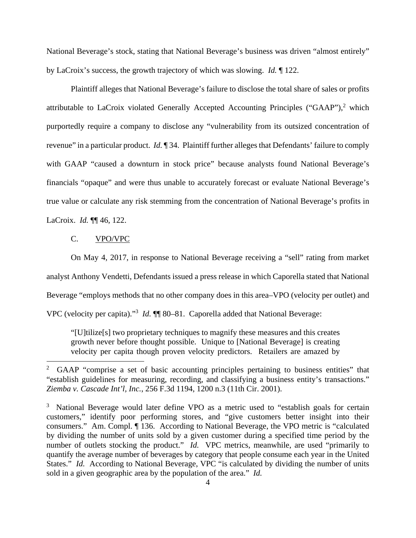National Beverage's stock, stating that National Beverage's business was driven "almost entirely" by LaCroix's success, the growth trajectory of which was slowing. *Id.* ¶ 122.

Plaintiff alleges that National Beverage's failure to disclose the total share of sales or profits attributable to LaCroix violated Generally Accepted Accounting Principles ("GAAP"), $^2$  which purportedly require a company to disclose any "vulnerability from its outsized concentration of revenue" in a particular product. *Id.* ¶ 34. Plaintiff further alleges that Defendants' failure to comply with GAAP "caused a downturn in stock price" because analysts found National Beverage's financials "opaque" and were thus unable to accurately forecast or evaluate National Beverage's true value or calculate any risk stemming from the concentration of National Beverage's profits in LaCroix. *Id.* ¶¶ 46, 122.

#### C. VPO/VPC

 On May 4, 2017, in response to National Beverage receiving a "sell" rating from market analyst Anthony Vendetti, Defendants issued a press release in which Caporella stated that National Beverage "employs methods that no other company does in this area–VPO (velocity per outlet) and VPC (velocity per capita)."<sup>3</sup> *Id.* **[1]** 80–81. Caporella added that National Beverage:

"[U]tilize[s] two proprietary techniques to magnify these measures and this creates growth never before thought possible. Unique to [National Beverage] is creating velocity per capita though proven velocity predictors. Retailers are amazed by

<sup>2</sup> GAAP "comprise a set of basic accounting principles pertaining to business entities" that "establish guidelines for measuring, recording, and classifying a business entity's transactions." *Ziemba v. Cascade Int'l, Inc.*, 256 F.3d 1194, 1200 n.3 (11th Cir. 2001).

<sup>&</sup>lt;sup>3</sup> National Beverage would later define VPO as a metric used to "establish goals for certain customers," identify poor performing stores, and "give customers better insight into their consumers." Am. Compl. ¶ 136. According to National Beverage, the VPO metric is "calculated by dividing the number of units sold by a given customer during a specified time period by the number of outlets stocking the product." *Id.* VPC metrics, meanwhile, are used "primarily to quantify the average number of beverages by category that people consume each year in the United States." *Id.* According to National Beverage, VPC "is calculated by dividing the number of units sold in a given geographic area by the population of the area." *Id.*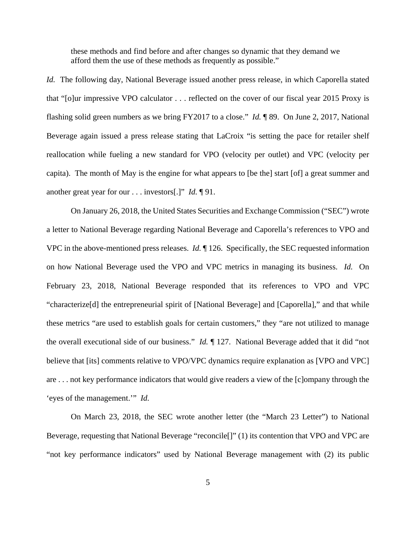these methods and find before and after changes so dynamic that they demand we afford them the use of these methods as frequently as possible."

*Id.* The following day, National Beverage issued another press release, in which Caporella stated that "[o]ur impressive VPO calculator . . . reflected on the cover of our fiscal year 2015 Proxy is flashing solid green numbers as we bring FY2017 to a close." *Id.* ¶ 89. On June 2, 2017, National Beverage again issued a press release stating that LaCroix "is setting the pace for retailer shelf reallocation while fueling a new standard for VPO (velocity per outlet) and VPC (velocity per capita). The month of May is the engine for what appears to [be the] start [of] a great summer and another great year for our . . . investors[.]" *Id.* ¶ 91.

 On January 26, 2018, the United States Securities and Exchange Commission ("SEC") wrote a letter to National Beverage regarding National Beverage and Caporella's references to VPO and VPC in the above-mentioned press releases. *Id.* ¶ 126. Specifically, the SEC requested information on how National Beverage used the VPO and VPC metrics in managing its business. *Id.* On February 23, 2018, National Beverage responded that its references to VPO and VPC "characterize[d] the entrepreneurial spirit of [National Beverage] and [Caporella]," and that while these metrics "are used to establish goals for certain customers," they "are not utilized to manage the overall executional side of our business." *Id.* ¶ 127. National Beverage added that it did "not believe that [its] comments relative to VPO/VPC dynamics require explanation as [VPO and VPC] are . . . not key performance indicators that would give readers a view of the [c]ompany through the 'eyes of the management.'" *Id.*

 On March 23, 2018, the SEC wrote another letter (the "March 23 Letter") to National Beverage, requesting that National Beverage "reconcile[]" (1) its contention that VPO and VPC are "not key performance indicators" used by National Beverage management with (2) its public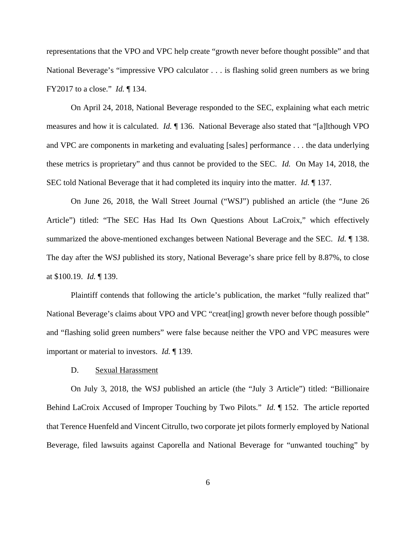representations that the VPO and VPC help create "growth never before thought possible" and that National Beverage's "impressive VPO calculator . . . is flashing solid green numbers as we bring FY2017 to a close." *Id.* ¶ 134.

 On April 24, 2018, National Beverage responded to the SEC, explaining what each metric measures and how it is calculated. *Id.* ¶ 136. National Beverage also stated that "[a]lthough VPO and VPC are components in marketing and evaluating [sales] performance . . . the data underlying these metrics is proprietary" and thus cannot be provided to the SEC. *Id.* On May 14, 2018, the SEC told National Beverage that it had completed its inquiry into the matter. *Id.* ¶ 137.

 On June 26, 2018, the Wall Street Journal ("WSJ") published an article (the "June 26 Article") titled: "The SEC Has Had Its Own Questions About LaCroix," which effectively summarized the above-mentioned exchanges between National Beverage and the SEC. *Id.* ¶ 138. The day after the WSJ published its story, National Beverage's share price fell by 8.87%, to close at \$100.19. *Id.* ¶ 139.

 Plaintiff contends that following the article's publication, the market "fully realized that" National Beverage's claims about VPO and VPC "creat [ing] growth never before though possible" and "flashing solid green numbers" were false because neither the VPO and VPC measures were important or material to investors. *Id.* ¶ 139.

#### D. Sexual Harassment

On July 3, 2018, the WSJ published an article (the "July 3 Article") titled: "Billionaire Behind LaCroix Accused of Improper Touching by Two Pilots." *Id.* ¶ 152. The article reported that Terence Huenfeld and Vincent Citrullo, two corporate jet pilots formerly employed by National Beverage, filed lawsuits against Caporella and National Beverage for "unwanted touching" by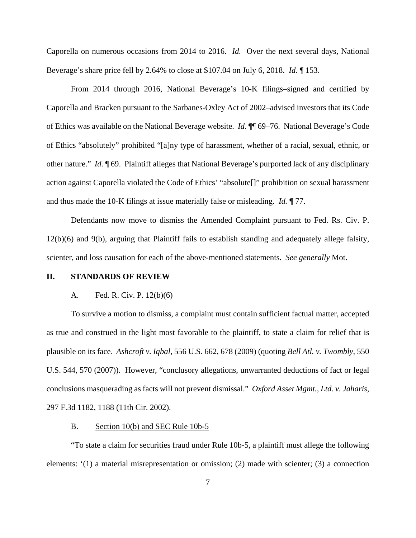Caporella on numerous occasions from 2014 to 2016. *Id.* Over the next several days, National Beverage's share price fell by 2.64% to close at \$107.04 on July 6, 2018. *Id.* ¶ 153.

From 2014 through 2016, National Beverage's 10-K filings–signed and certified by Caporella and Bracken pursuant to the Sarbanes-Oxley Act of 2002–advised investors that its Code of Ethics was available on the National Beverage website. *Id.* ¶¶ 69–76. National Beverage's Code of Ethics "absolutely" prohibited "[a]ny type of harassment, whether of a racial, sexual, ethnic, or other nature." *Id.* ¶ 69. Plaintiff alleges that National Beverage's purported lack of any disciplinary action against Caporella violated the Code of Ethics' "absolute[]" prohibition on sexual harassment and thus made the 10-K filings at issue materially false or misleading. *Id.* ¶ 77.

Defendants now move to dismiss the Amended Complaint pursuant to Fed. Rs. Civ. P. 12(b)(6) and 9(b), arguing that Plaintiff fails to establish standing and adequately allege falsity, scienter, and loss causation for each of the above-mentioned statements. *See generally* Mot.

## **II. STANDARDS OF REVIEW**

#### A. Fed. R. Civ. P. 12(b)(6)

To survive a motion to dismiss, a complaint must contain sufficient factual matter, accepted as true and construed in the light most favorable to the plaintiff, to state a claim for relief that is plausible on its face. *Ashcroft v. Iqbal*, 556 U.S. 662, 678 (2009) (quoting *Bell Atl. v. Twombly*, 550 U.S. 544, 570 (2007)). However, "conclusory allegations, unwarranted deductions of fact or legal conclusions masquerading as facts will not prevent dismissal." *Oxford Asset Mgmt., Ltd. v. Jaharis*, 297 F.3d 1182, 1188 (11th Cir. 2002).

### B. Section 10(b) and SEC Rule 10b-5

"To state a claim for securities fraud under Rule 10b-5, a plaintiff must allege the following elements: '(1) a material misrepresentation or omission; (2) made with scienter; (3) a connection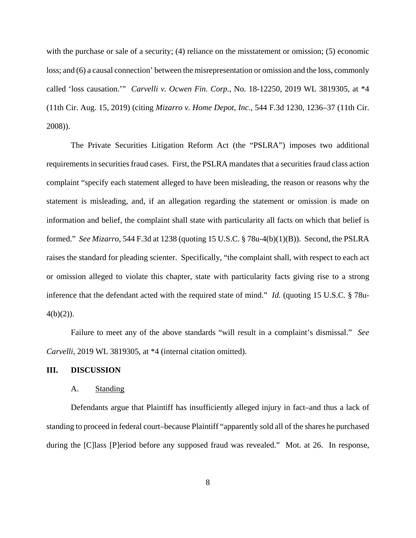with the purchase or sale of a security; (4) reliance on the misstatement or omission; (5) economic loss; and (6) a causal connection' between the misrepresentation or omission and the loss, commonly called 'loss causation.'" *Carvelli v. Ocwen Fin. Corp.*, No. 18-12250, 2019 WL 3819305, at \*4 (11th Cir. Aug. 15, 2019) (citing *Mizarro v. Home Depot, Inc.*, 544 F.3d 1230, 1236–37 (11th Cir. 2008)).

The Private Securities Litigation Reform Act (the "PSLRA") imposes two additional requirements in securities fraud cases. First, the PSLRA mandates that a securities fraud class action complaint "specify each statement alleged to have been misleading, the reason or reasons why the statement is misleading, and, if an allegation regarding the statement or omission is made on information and belief, the complaint shall state with particularity all facts on which that belief is formed." *See Mizarro*, 544 F.3d at 1238 (quoting 15 U.S.C. § 78u-4(b)(1)(B)). Second, the PSLRA raises the standard for pleading scienter. Specifically, "the complaint shall, with respect to each act or omission alleged to violate this chapter, state with particularity facts giving rise to a strong inference that the defendant acted with the required state of mind." *Id.* (quoting 15 U.S.C. § 78u- $4(b)(2)$ ).

Failure to meet any of the above standards "will result in a complaint's dismissal." *See Carvelli*, 2019 WL 3819305, at \*4 (internal citation omitted).

#### **III. DISCUSSION**

# A. Standing

Defendants argue that Plaintiff has insufficiently alleged injury in fact–and thus a lack of standing to proceed in federal court–because Plaintiff "apparently sold all of the shares he purchased during the [C]lass [P]eriod before any supposed fraud was revealed." Mot. at 26. In response,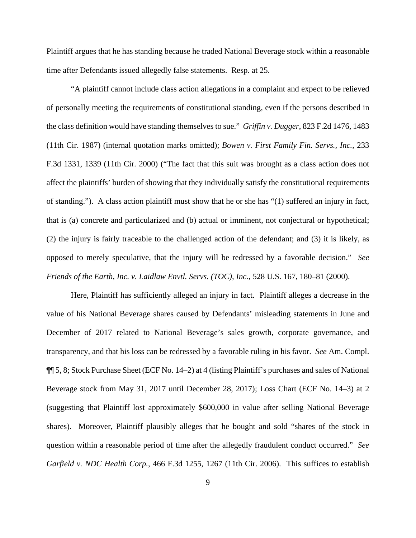Plaintiff argues that he has standing because he traded National Beverage stock within a reasonable time after Defendants issued allegedly false statements. Resp. at 25.

"A plaintiff cannot include class action allegations in a complaint and expect to be relieved of personally meeting the requirements of constitutional standing, even if the persons described in the class definition would have standing themselves to sue." *Griffin v. Dugger*, 823 F.2d 1476, 1483 (11th Cir. 1987) (internal quotation marks omitted); *Bowen v. First Family Fin. Servs., Inc.*, 233 F.3d 1331, 1339 (11th Cir. 2000) ("The fact that this suit was brought as a class action does not affect the plaintiffs' burden of showing that they individually satisfy the constitutional requirements of standing."). A class action plaintiff must show that he or she has "(1) suffered an injury in fact, that is (a) concrete and particularized and (b) actual or imminent, not conjectural or hypothetical; (2) the injury is fairly traceable to the challenged action of the defendant; and (3) it is likely, as opposed to merely speculative, that the injury will be redressed by a favorable decision." *See Friends of the Earth, Inc. v. Laidlaw Envtl. Servs. (TOC), Inc.*, 528 U.S. 167, 180–81 (2000).

Here, Plaintiff has sufficiently alleged an injury in fact. Plaintiff alleges a decrease in the value of his National Beverage shares caused by Defendants' misleading statements in June and December of 2017 related to National Beverage's sales growth, corporate governance, and transparency, and that his loss can be redressed by a favorable ruling in his favor. *See* Am. Compl. ¶¶ 5, 8; Stock Purchase Sheet (ECF No. 14–2) at 4 (listing Plaintiff's purchases and sales of National Beverage stock from May 31, 2017 until December 28, 2017); Loss Chart (ECF No. 14–3) at 2 (suggesting that Plaintiff lost approximately \$600,000 in value after selling National Beverage shares). Moreover, Plaintiff plausibly alleges that he bought and sold "shares of the stock in question within a reasonable period of time after the allegedly fraudulent conduct occurred." *See Garfield v. NDC Health Corp.*, 466 F.3d 1255, 1267 (11th Cir. 2006). This suffices to establish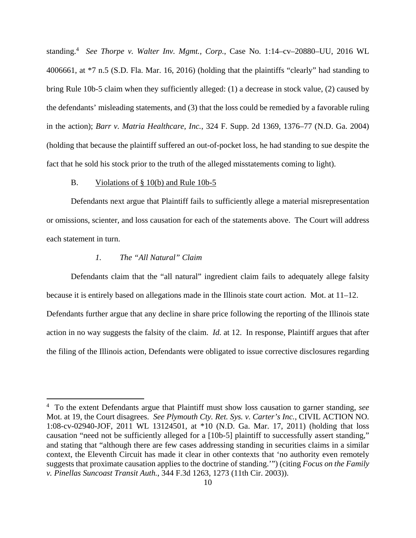standing.4 *See Thorpe v. Walter Inv. Mgmt., Corp.*, Case No. 1:14–cv–20880–UU, 2016 WL 4006661, at \*7 n.5 (S.D. Fla. Mar. 16, 2016) (holding that the plaintiffs "clearly" had standing to bring Rule 10b-5 claim when they sufficiently alleged: (1) a decrease in stock value, (2) caused by the defendants' misleading statements, and (3) that the loss could be remedied by a favorable ruling in the action); *Barr v. Matria Healthcare, Inc.*, 324 F. Supp. 2d 1369, 1376–77 (N.D. Ga. 2004) (holding that because the plaintiff suffered an out-of-pocket loss, he had standing to sue despite the fact that he sold his stock prior to the truth of the alleged misstatements coming to light).

#### B. Violations of § 10(b) and Rule 10b-5

Defendants next argue that Plaintiff fails to sufficiently allege a material misrepresentation or omissions, scienter, and loss causation for each of the statements above. The Court will address each statement in turn.

# *1. The "All Natural" Claim*

Defendants claim that the "all natural" ingredient claim fails to adequately allege falsity because it is entirely based on allegations made in the Illinois state court action. Mot. at 11–12. Defendants further argue that any decline in share price following the reporting of the Illinois state action in no way suggests the falsity of the claim. *Id.* at 12. In response, Plaintiff argues that after the filing of the Illinois action, Defendants were obligated to issue corrective disclosures regarding

<sup>4</sup> To the extent Defendants argue that Plaintiff must show loss causation to garner standing, *see* Mot. at 19, the Court disagrees. *See Plymouth Cty. Ret. Sys. v. Carter's Inc.*, CIVIL ACTION NO. 1:08-cv-02940-JOF, 2011 WL 13124501, at \*10 (N.D. Ga. Mar. 17, 2011) (holding that loss causation "need not be sufficiently alleged for a [10b-5] plaintiff to successfully assert standing," and stating that "although there are few cases addressing standing in securities claims in a similar context, the Eleventh Circuit has made it clear in other contexts that 'no authority even remotely suggests that proximate causation applies to the doctrine of standing.'") (citing *Focus on the Family v. Pinellas Suncoast Transit Auth.*, 344 F.3d 1263, 1273 (11th Cir. 2003)).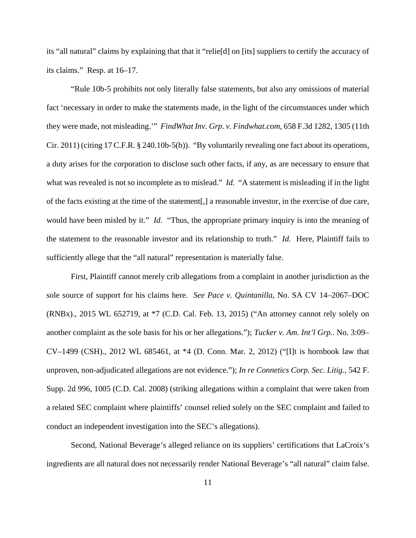its "all natural" claims by explaining that that it "relie[d] on [its] suppliers to certify the accuracy of its claims." Resp. at 16–17.

"Rule 10b-5 prohibits not only literally false statements, but also any omissions of material fact 'necessary in order to make the statements made, in the light of the circumstances under which they were made, not misleading.'" *FindWhat Inv. Grp. v. Findwhat.com*, 658 F.3d 1282, 1305 (11th Cir. 2011) (citing 17 C.F.R. § 240.10b-5(b)). "By voluntarily revealing one fact about its operations, a duty arises for the corporation to disclose such other facts, if any, as are necessary to ensure that what was revealed is not so incomplete as to mislead." *Id.* "A statement is misleading if in the light of the facts existing at the time of the statement[,] a reasonable investor, in the exercise of due care, would have been misled by it." *Id.* "Thus, the appropriate primary inquiry is into the meaning of the statement to the reasonable investor and its relationship to truth." *Id.* Here, Plaintiff fails to sufficiently allege that the "all natural" representation is materially false.

First, Plaintiff cannot merely crib allegations from a complaint in another jurisdiction as the sole source of support for his claims here. *See Pace v. Quintanilla*, No. SA CV 14–2067–DOC (RNBx)., 2015 WL 652719, at \*7 (C.D. Cal. Feb. 13, 2015) ("An attorney cannot rely solely on another complaint as the sole basis for his or her allegations."); *Tucker v. Am. Int'l Grp.*. No. 3:09– CV–1499 (CSH)., 2012 WL 685461, at \*4 (D. Conn. Mar. 2, 2012) ("[I]t is hornbook law that unproven, non-adjudicated allegations are not evidence."); *In re Connetics Corp. Sec. Litig.*, 542 F. Supp. 2d 996, 1005 (C.D. Cal. 2008) (striking allegations within a complaint that were taken from a related SEC complaint where plaintiffs' counsel relied solely on the SEC complaint and failed to conduct an independent investigation into the SEC's allegations).

Second, National Beverage's alleged reliance on its suppliers' certifications that LaCroix's ingredients are all natural does not necessarily render National Beverage's "all natural" claim false.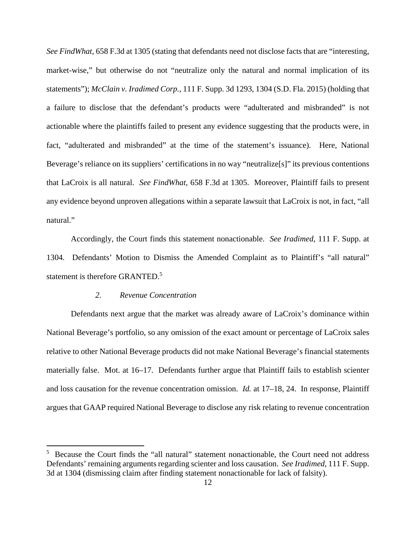*See FindWhat*, 658 F.3d at 1305 (stating that defendants need not disclose facts that are "interesting, market-wise," but otherwise do not "neutralize only the natural and normal implication of its statements"); *McClain v. Iradimed Corp.*, 111 F. Supp. 3d 1293, 1304 (S.D. Fla. 2015) (holding that a failure to disclose that the defendant's products were "adulterated and misbranded" is not actionable where the plaintiffs failed to present any evidence suggesting that the products were, in fact, "adulterated and misbranded" at the time of the statement's issuance). Here, National Beverage's reliance on its suppliers' certifications in no way "neutralize[s]" its previous contentions that LaCroix is all natural. *See FindWhat*, 658 F.3d at 1305. Moreover, Plaintiff fails to present any evidence beyond unproven allegations within a separate lawsuit that LaCroix is not, in fact, "all natural."

Accordingly, the Court finds this statement nonactionable. *See Iradimed*, 111 F. Supp. at 1304*.* Defendants' Motion to Dismiss the Amended Complaint as to Plaintiff's "all natural" statement is therefore GRANTED.<sup>5</sup>

#### *2. Revenue Concentration*

 Defendants next argue that the market was already aware of LaCroix's dominance within National Beverage's portfolio, so any omission of the exact amount or percentage of LaCroix sales relative to other National Beverage products did not make National Beverage's financial statements materially false. Mot. at 16–17. Defendants further argue that Plaintiff fails to establish scienter and loss causation for the revenue concentration omission. *Id.* at 17–18, 24. In response, Plaintiff argues that GAAP required National Beverage to disclose any risk relating to revenue concentration

<sup>&</sup>lt;sup>5</sup> Because the Court finds the "all natural" statement nonactionable, the Court need not address Defendants' remaining arguments regarding scienter and loss causation. *See Iradimed*, 111 F. Supp. 3d at 1304 (dismissing claim after finding statement nonactionable for lack of falsity).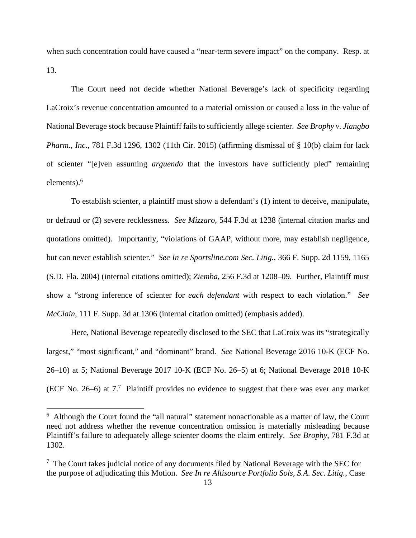when such concentration could have caused a "near-term severe impact" on the company. Resp. at 13.

 The Court need not decide whether National Beverage's lack of specificity regarding LaCroix's revenue concentration amounted to a material omission or caused a loss in the value of National Beverage stock because Plaintiff fails to sufficiently allege scienter. *See Brophy v. Jiangbo Pharm., Inc.*, 781 F.3d 1296, 1302 (11th Cir. 2015) (affirming dismissal of § 10(b) claim for lack of scienter "[e]ven assuming *arguendo* that the investors have sufficiently pled" remaining elements).<sup>6</sup>

To establish scienter, a plaintiff must show a defendant's (1) intent to deceive, manipulate, or defraud or (2) severe recklessness. *See Mizzaro*, 544 F.3d at 1238 (internal citation marks and quotations omitted). Importantly, "violations of GAAP, without more, may establish negligence, but can never establish scienter." *See In re Sportsline.com Sec. Litig.*, 366 F. Supp. 2d 1159, 1165 (S.D. Fla. 2004) (internal citations omitted); *Ziemba*, 256 F.3d at 1208–09. Further, Plaintiff must show a "strong inference of scienter for *each defendant* with respect to each violation." *See McClain*, 111 F. Supp. 3d at 1306 (internal citation omitted) (emphasis added).

Here, National Beverage repeatedly disclosed to the SEC that LaCroix was its "strategically largest," "most significant," and "dominant" brand. *See* National Beverage 2016 10-K (ECF No. 26–10) at 5; National Beverage 2017 10-K (ECF No. 26–5) at 6; National Beverage 2018 10-K (ECF No. 26–6) at  $7<sup>7</sup>$  Plaintiff provides no evidence to suggest that there was ever any market

<sup>&</sup>lt;sup>6</sup> Although the Court found the "all natural" statement nonactionable as a matter of law, the Court need not address whether the revenue concentration omission is materially misleading because Plaintiff's failure to adequately allege scienter dooms the claim entirely. *See Brophy*, 781 F.3d at 1302.

 $7$  The Court takes judicial notice of any documents filed by National Beverage with the SEC for the purpose of adjudicating this Motion. *See In re Altisource Portfolio Sols, S.A. Sec. Litig.*, Case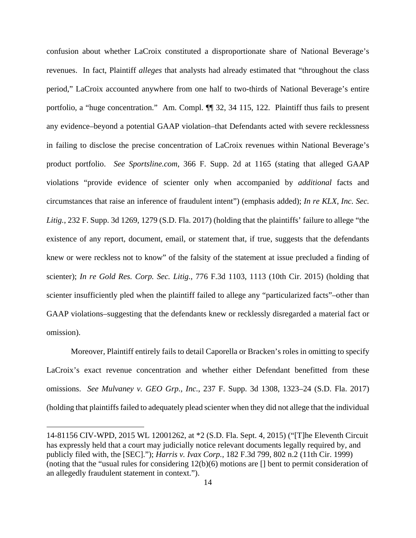confusion about whether LaCroix constituted a disproportionate share of National Beverage's revenues. In fact, Plaintiff *alleges* that analysts had already estimated that "throughout the class period," LaCroix accounted anywhere from one half to two-thirds of National Beverage's entire portfolio, a "huge concentration." Am. Compl. ¶ 32, 34 115, 122. Plaintiff thus fails to present any evidence–beyond a potential GAAP violation–that Defendants acted with severe recklessness in failing to disclose the precise concentration of LaCroix revenues within National Beverage's product portfolio. *See Sportsline.com*, 366 F. Supp. 2d at 1165 (stating that alleged GAAP violations "provide evidence of scienter only when accompanied by *additional* facts and circumstances that raise an inference of fraudulent intent") (emphasis added); *In re KLX, Inc. Sec. Litig.*, 232 F. Supp. 3d 1269, 1279 (S.D. Fla. 2017) (holding that the plaintiffs' failure to allege "the existence of any report, document, email, or statement that, if true, suggests that the defendants knew or were reckless not to know" of the falsity of the statement at issue precluded a finding of scienter); *In re Gold Res. Corp. Sec. Litig.*, 776 F.3d 1103, 1113 (10th Cir. 2015) (holding that scienter insufficiently pled when the plaintiff failed to allege any "particularized facts"–other than GAAP violations–suggesting that the defendants knew or recklessly disregarded a material fact or omission).

Moreover, Plaintiff entirely fails to detail Caporella or Bracken's roles in omitting to specify LaCroix's exact revenue concentration and whether either Defendant benefitted from these omissions. *See Mulvaney v. GEO Grp., Inc.*, 237 F. Supp. 3d 1308, 1323–24 (S.D. Fla. 2017) (holding that plaintiffs failed to adequately plead scienter when they did not allege that the individual

<sup>14-81156</sup> CIV-WPD, 2015 WL 12001262, at \*2 (S.D. Fla. Sept. 4, 2015) ("[T]he Eleventh Circuit has expressly held that a court may judicially notice relevant documents legally required by, and publicly filed with, the [SEC]."); *Harris v. Ivax Corp.*, 182 F.3d 799, 802 n.2 (11th Cir. 1999) (noting that the "usual rules for considering 12(b)(6) motions are [] bent to permit consideration of an allegedly fraudulent statement in context.").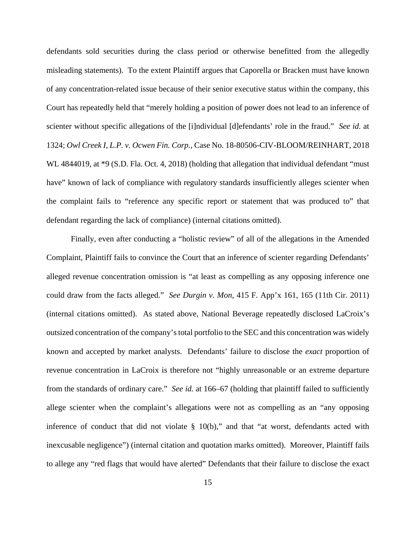defendants sold securities during the class period or otherwise benefitted from the allegedly misleading statements). To the extent Plaintiff argues that Caporella or Bracken must have known of any concentration-related issue because of their senior executive status within the company, this Court has repeatedly held that "merely holding a position of power does not lead to an inference of scienter without specific allegations of the [i]ndividual [d]efendants' role in the fraud." *See id.* at 1324; *Owl Creek I, L.P. v. Ocwen Fin. Corp.*, Case No. 18-80506-CIV-BLOOM/REINHART, 2018 WL 4844019, at  $*9$  (S.D. Fla. Oct. 4, 2018) (holding that allegation that individual defendant "must" have" known of lack of compliance with regulatory standards insufficiently alleges scienter when the complaint fails to "reference any specific report or statement that was produced to" that defendant regarding the lack of compliance) (internal citations omitted).

Finally, even after conducting a "holistic review" of all of the allegations in the Amended Complaint, Plaintiff fails to convince the Court that an inference of scienter regarding Defendants' alleged revenue concentration omission is "at least as compelling as any opposing inference one could draw from the facts alleged." *See Durgin v. Mon*, 415 F. App'x 161, 165 (11th Cir. 2011) (internal citations omitted). As stated above, National Beverage repeatedly disclosed LaCroix's outsized concentration of the company's total portfolio to the SEC and this concentration was widely known and accepted by market analysts. Defendants' failure to disclose the *exact* proportion of revenue concentration in LaCroix is therefore not "highly unreasonable or an extreme departure from the standards of ordinary care." *See id.* at 166–67 (holding that plaintiff failed to sufficiently allege scienter when the complaint's allegations were not as compelling as an "any opposing inference of conduct that did not violate  $\S$  10(b)," and that "at worst, defendants acted with inexcusable negligence") (internal citation and quotation marks omitted). Moreover, Plaintiff fails to allege any "red flags that would have alerted" Defendants that their failure to disclose the exact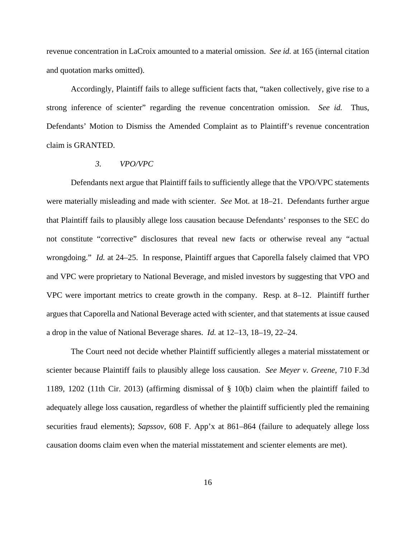revenue concentration in LaCroix amounted to a material omission. *See id.* at 165 (internal citation and quotation marks omitted).

Accordingly, Plaintiff fails to allege sufficient facts that, "taken collectively, give rise to a strong inference of scienter" regarding the revenue concentration omission. *See id.* Thus, Defendants' Motion to Dismiss the Amended Complaint as to Plaintiff's revenue concentration claim is GRANTED.

#### *3. VPO/VPC*

 Defendants next argue that Plaintiff fails to sufficiently allege that the VPO/VPC statements were materially misleading and made with scienter. *See* Mot. at 18–21. Defendants further argue that Plaintiff fails to plausibly allege loss causation because Defendants' responses to the SEC do not constitute "corrective" disclosures that reveal new facts or otherwise reveal any "actual wrongdoing." *Id.* at 24–25. In response, Plaintiff argues that Caporella falsely claimed that VPO and VPC were proprietary to National Beverage, and misled investors by suggesting that VPO and VPC were important metrics to create growth in the company. Resp. at 8–12. Plaintiff further argues that Caporella and National Beverage acted with scienter, and that statements at issue caused a drop in the value of National Beverage shares. *Id.* at 12–13, 18–19, 22–24.

 The Court need not decide whether Plaintiff sufficiently alleges a material misstatement or scienter because Plaintiff fails to plausibly allege loss causation. *See Meyer v. Greene*, 710 F.3d 1189, 1202 (11th Cir. 2013) (affirming dismissal of § 10(b) claim when the plaintiff failed to adequately allege loss causation, regardless of whether the plaintiff sufficiently pled the remaining securities fraud elements); *Sapssov*, 608 F. App'x at 861–864 (failure to adequately allege loss causation dooms claim even when the material misstatement and scienter elements are met).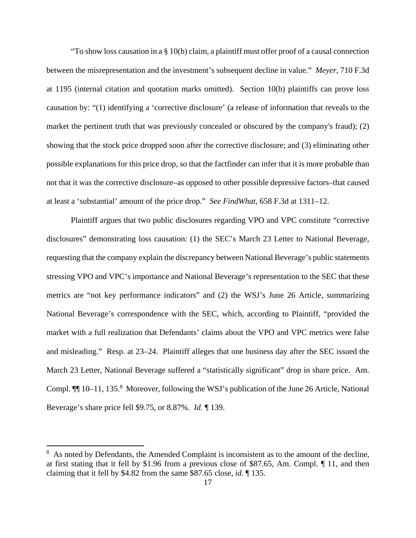"To show loss causation in a § 10(b) claim, a plaintiff must offer proof of a causal connection between the misrepresentation and the investment's subsequent decline in value." *Meyer*, 710 F.3d at 1195 (internal citation and quotation marks omitted). Section 10(b) plaintiffs can prove loss causation by: "(1) identifying a 'corrective disclosure' (a release of information that reveals to the market the pertinent truth that was previously concealed or obscured by the company's fraud); (2) showing that the stock price dropped soon after the corrective disclosure; and (3) eliminating other possible explanations for this price drop, so that the factfinder can infer that it is more probable than not that it was the corrective disclosure–as opposed to other possible depressive factors–that caused at least a 'substantial' amount of the price drop." *See FindWhat*, 658 F.3d at 1311–12.

Plaintiff argues that two public disclosures regarding VPO and VPC constitute "corrective disclosures" demonstrating loss causation: (1) the SEC's March 23 Letter to National Beverage, requesting that the company explain the discrepancy between National Beverage's public statements stressing VPO and VPC's importance and National Beverage's representation to the SEC that these metrics are "not key performance indicators" and (2) the WSJ's June 26 Article, summarizing National Beverage's correspondence with the SEC, which, according to Plaintiff, "provided the market with a full realization that Defendants' claims about the VPO and VPC metrics were false and misleading." Resp. at 23–24. Plaintiff alleges that one business day after the SEC issued the March 23 Letter, National Beverage suffered a "statistically significant" drop in share price. Am. Compl.  $\P$  10–11, 135.8 Moreover, following the WSJ's publication of the June 26 Article, National Beverage's share price fell \$9.75, or 8.87%. *Id.* ¶ 139.

<sup>&</sup>lt;sup>8</sup> As noted by Defendants, the Amended Complaint is inconsistent as to the amount of the decline, at first stating that it fell by \$1.96 from a previous close of \$87.65, Am. Compl. ¶ 11, and then claiming that it fell by \$4.82 from the same \$87.65 close, *id.* ¶ 135.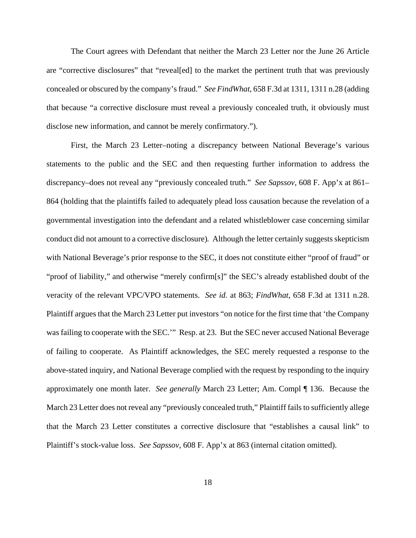The Court agrees with Defendant that neither the March 23 Letter nor the June 26 Article are "corrective disclosures" that "reveal[ed] to the market the pertinent truth that was previously concealed or obscured by the company's fraud." *See FindWhat*, 658 F.3d at 1311, 1311 n.28 (adding that because "a corrective disclosure must reveal a previously concealed truth, it obviously must disclose new information, and cannot be merely confirmatory.").

First, the March 23 Letter–noting a discrepancy between National Beverage's various statements to the public and the SEC and then requesting further information to address the discrepancy–does not reveal any "previously concealed truth." *See Sapssov*, 608 F. App'x at 861– 864 (holding that the plaintiffs failed to adequately plead loss causation because the revelation of a governmental investigation into the defendant and a related whistleblower case concerning similar conduct did not amount to a corrective disclosure)*.* Although the letter certainly suggests skepticism with National Beverage's prior response to the SEC, it does not constitute either "proof of fraud" or "proof of liability," and otherwise "merely confirm[s]" the SEC's already established doubt of the veracity of the relevant VPC/VPO statements. *See id.* at 863; *FindWhat*, 658 F.3d at 1311 n.28. Plaintiff argues that the March 23 Letter put investors "on notice for the first time that 'the Company was failing to cooperate with the SEC.'" Resp. at 23. But the SEC never accused National Beverage of failing to cooperate. As Plaintiff acknowledges, the SEC merely requested a response to the above-stated inquiry, and National Beverage complied with the request by responding to the inquiry approximately one month later. *See generally* March 23 Letter; Am. Compl ¶ 136. Because the March 23 Letter does not reveal any "previously concealed truth," Plaintiff fails to sufficiently allege that the March 23 Letter constitutes a corrective disclosure that "establishes a causal link" to Plaintiff's stock-value loss. *See Sapssov*, 608 F. App'x at 863 (internal citation omitted).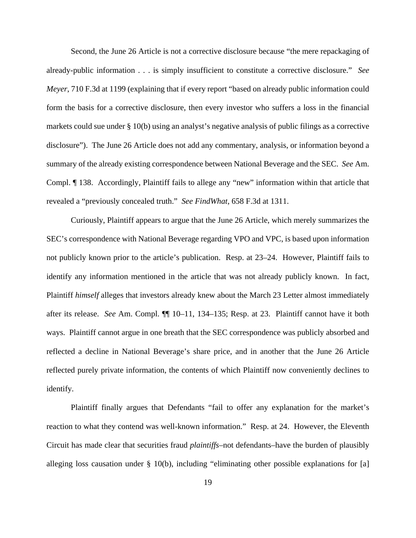Second, the June 26 Article is not a corrective disclosure because "the mere repackaging of already-public information . . . is simply insufficient to constitute a corrective disclosure." *See Meyer*, 710 F.3d at 1199 (explaining that if every report "based on already public information could form the basis for a corrective disclosure, then every investor who suffers a loss in the financial markets could sue under § 10(b) using an analyst's negative analysis of public filings as a corrective disclosure"). The June 26 Article does not add any commentary, analysis, or information beyond a summary of the already existing correspondence between National Beverage and the SEC. *See* Am. Compl. ¶ 138. Accordingly, Plaintiff fails to allege any "new" information within that article that revealed a "previously concealed truth." *See FindWhat*, 658 F.3d at 1311.

Curiously, Plaintiff appears to argue that the June 26 Article, which merely summarizes the SEC's correspondence with National Beverage regarding VPO and VPC, is based upon information not publicly known prior to the article's publication. Resp. at 23–24. However, Plaintiff fails to identify any information mentioned in the article that was not already publicly known. In fact, Plaintiff *himself* alleges that investors already knew about the March 23 Letter almost immediately after its release. *See* Am. Compl. ¶¶ 10–11, 134–135; Resp. at 23. Plaintiff cannot have it both ways. Plaintiff cannot argue in one breath that the SEC correspondence was publicly absorbed and reflected a decline in National Beverage's share price, and in another that the June 26 Article reflected purely private information, the contents of which Plaintiff now conveniently declines to identify.

Plaintiff finally argues that Defendants "fail to offer any explanation for the market's reaction to what they contend was well-known information." Resp. at 24. However, the Eleventh Circuit has made clear that securities fraud *plaintiffs*–not defendants–have the burden of plausibly alleging loss causation under § 10(b), including "eliminating other possible explanations for [a]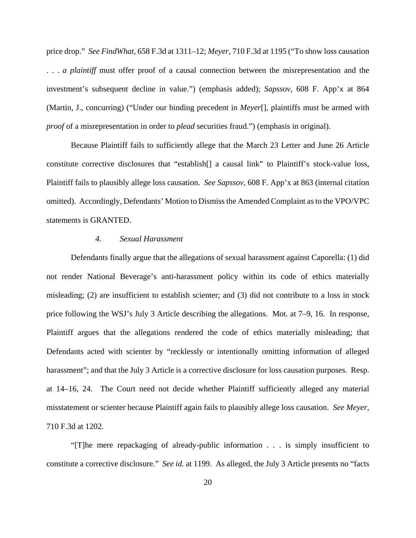price drop." *See FindWhat*, 658 F.3d at 1311–12; *Meyer*, 710 F.3d at 1195 ("To show loss causation . . . *a plaintiff* must offer proof of a causal connection between the misrepresentation and the investment's subsequent decline in value.") (emphasis added); *Sapssov*, 608 F. App'x at 864 (Martin, J., concurring) ("Under our binding precedent in *Meyer*[], plaintiffs must be armed with *proof* of a misrepresentation in order to *plead* securities fraud.") (emphasis in original).

Because Plaintiff fails to sufficiently allege that the March 23 Letter and June 26 Article constitute corrective disclosures that "establish[] a causal link" to Plaintiff's stock-value loss, Plaintiff fails to plausibly allege loss causation. *See Sapssov*, 608 F. App'x at 863 (internal citation omitted). Accordingly, Defendants' Motion to Dismiss the Amended Complaint as to the VPO/VPC statements is GRANTED.

### *4. Sexual Harassment*

 Defendants finally argue that the allegations of sexual harassment against Caporella: (1) did not render National Beverage's anti-harassment policy within its code of ethics materially misleading; (2) are insufficient to establish scienter; and (3) did not contribute to a loss in stock price following the WSJ's July 3 Article describing the allegations. Mot. at 7–9, 16. In response, Plaintiff argues that the allegations rendered the code of ethics materially misleading; that Defendants acted with scienter by "recklessly or intentionally omitting information of alleged harassment"; and that the July 3 Article is a corrective disclosure for loss causation purposes. Resp. at 14–16, 24. The Court need not decide whether Plaintiff sufficiently alleged any material misstatement or scienter because Plaintiff again fails to plausibly allege loss causation. *See Meyer*, 710 F.3d at 1202.

 "[T]he mere repackaging of already-public information . . . is simply insufficient to constitute a corrective disclosure." *See id.* at 1199. As alleged, the July 3 Article presents no "facts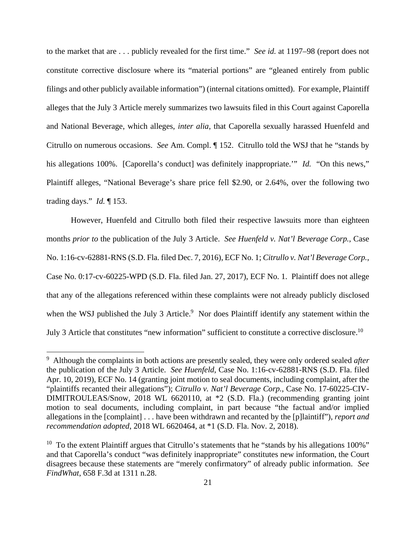to the market that are . . . publicly revealed for the first time." *See id.* at 1197–98 (report does not constitute corrective disclosure where its "material portions" are "gleaned entirely from public filings and other publicly available information") (internal citations omitted). For example, Plaintiff alleges that the July 3 Article merely summarizes two lawsuits filed in this Court against Caporella and National Beverage, which alleges, *inter alia*, that Caporella sexually harassed Huenfeld and Citrullo on numerous occasions. *See* Am. Compl. ¶ 152. Citrullo told the WSJ that he "stands by his allegations 100%. [Caporella's conduct] was definitely inappropriate." *Id.* "On this news," Plaintiff alleges, "National Beverage's share price fell \$2.90, or 2.64%, over the following two trading days." *Id.* ¶ 153.

 However, Huenfeld and Citrullo both filed their respective lawsuits more than eighteen months *prior to* the publication of the July 3 Article. *See Huenfeld v. Nat'l Beverage Corp.*, Case No. 1:16-cv-62881-RNS (S.D. Fla. filed Dec. 7, 2016), ECF No. 1; *Citrullo v. Nat'l Beverage Corp.*, Case No. 0:17-cv-60225-WPD (S.D. Fla. filed Jan. 27, 2017), ECF No. 1. Plaintiff does not allege that any of the allegations referenced within these complaints were not already publicly disclosed when the WSJ published the July 3 Article. $9$  Nor does Plaintiff identify any statement within the July 3 Article that constitutes "new information" sufficient to constitute a corrective disclosure.10

<sup>9</sup> Although the complaints in both actions are presently sealed, they were only ordered sealed *after* the publication of the July 3 Article. *See Huenfeld*, Case No. 1:16-cv-62881-RNS (S.D. Fla. filed Apr. 10, 2019), ECF No. 14 (granting joint motion to seal documents, including complaint, after the "plaintiffs recanted their allegations"); *Citrullo v. Nat'l Beverage Corp.*, Case No. 17-60225-CIV-DIMITROULEAS/Snow, 2018 WL 6620110, at \*2 (S.D. Fla.) (recommending granting joint motion to seal documents, including complaint, in part because "the factual and/or implied allegations in the [complaint] . . . have been withdrawn and recanted by the [p]laintiff"), *report and recommendation adopted*, 2018 WL 6620464, at \*1 (S.D. Fla. Nov. 2, 2018).

<sup>&</sup>lt;sup>10</sup> To the extent Plaintiff argues that Citrullo's statements that he "stands by his allegations  $100\%$ " and that Caporella's conduct "was definitely inappropriate" constitutes new information, the Court disagrees because these statements are "merely confirmatory" of already public information. *See FindWhat*, 658 F.3d at 1311 n.28.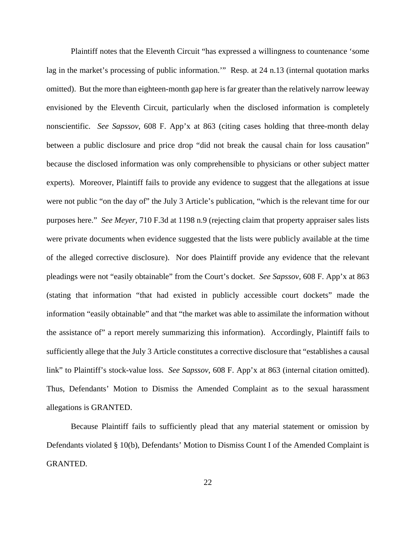Plaintiff notes that the Eleventh Circuit "has expressed a willingness to countenance 'some lag in the market's processing of public information.'" Resp. at 24 n.13 (internal quotation marks omitted). But the more than eighteen-month gap here is far greater than the relatively narrow leeway envisioned by the Eleventh Circuit, particularly when the disclosed information is completely nonscientific. *See Sapssov*, 608 F. App'x at 863 (citing cases holding that three-month delay between a public disclosure and price drop "did not break the causal chain for loss causation" because the disclosed information was only comprehensible to physicians or other subject matter experts). Moreover, Plaintiff fails to provide any evidence to suggest that the allegations at issue were not public "on the day of" the July 3 Article's publication, "which is the relevant time for our purposes here." *See Meyer*, 710 F.3d at 1198 n.9 (rejecting claim that property appraiser sales lists were private documents when evidence suggested that the lists were publicly available at the time of the alleged corrective disclosure). Nor does Plaintiff provide any evidence that the relevant pleadings were not "easily obtainable" from the Court's docket. *See Sapssov*, 608 F. App'x at 863 (stating that information "that had existed in publicly accessible court dockets" made the information "easily obtainable" and that "the market was able to assimilate the information without the assistance of" a report merely summarizing this information). Accordingly, Plaintiff fails to sufficiently allege that the July 3 Article constitutes a corrective disclosure that "establishes a causal link" to Plaintiff's stock-value loss. *See Sapssov*, 608 F. App'x at 863 (internal citation omitted). Thus, Defendants' Motion to Dismiss the Amended Complaint as to the sexual harassment allegations is GRANTED.

 Because Plaintiff fails to sufficiently plead that any material statement or omission by Defendants violated § 10(b), Defendants' Motion to Dismiss Count I of the Amended Complaint is GRANTED.